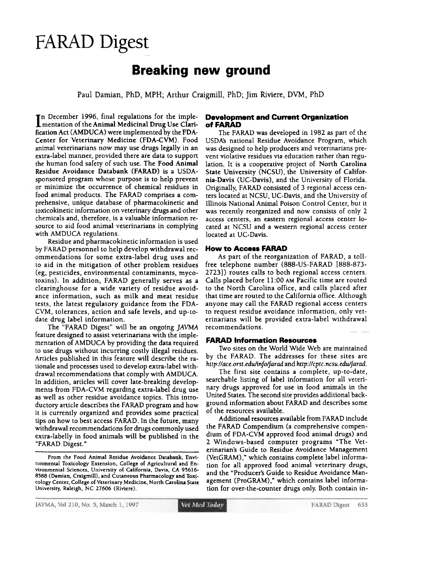# FARAD Digest

## Breaking new ground

Paul Damian, PhD, MPH; Arthur Craigmill, PhD; Jim Riviere, DVM, PhD

 $\textsf{T}$ n December 1996, final regulations for the implementation of the Animal Medicinal Drug Use Clarification Act (AMDUCA) were implemented by the FDA-Center for Veterinary Medicine (FDA-CVM). Food animal veterinarians now may use drugs legally in an extra-label manner, provided there are data to support the human food safety of such use. The Food Animal Residue Avoidance Databank (FARAD) is a USDAsponsored program whose purpose is to help prevent or minimize the occurrence of chemical residues in food animal products. The FARAD comprises a comprehensive, unique database of pbarmacokinetic and toxicokinetic information on veterinary drugs and other chemicals and, therefore, is a valuable information resource to aid food animal veterinarians in complying with AMDUCA regulations,.

Residue and pharmacokinetic information is used by FARAD personnel to help develop withdrawal recommendations for some extra-label drug uses and to aid in the mitigation of other problem residues (eg, pesticides, environmental contaminants, mycotoxins). In addition, FARAD generally serves as a clearinghouse for a wide variety of residue avoidance information, such as milk and meat residue tests, the latest regulatory guidance from the FDA-CVM, tolerances, action and safe levels, and up-todate drug label information.

The "FARAD Digest" will be an ongoing JAVMA feature designed to assist veterinarians with the implementation of AMDUCA by providing the data required to use drugs without incurring costly illegal residues. Articles published in this feature will describe the rationale and processes used to develop extra-label withdrawal recommendations that comply with AMDUCA. In addition, articles will cover late-breaking developments from FDA-CVM regarding extra-label drug use as well as other residue avoidance topics. This introductory article describes the FARAD program and how it is currently organized and provides some practical tips on how to best access FARAD. In the future, many withdrawal recommendations for drugs commonly used extra-labelly in food animals will be published in the "FARAD Digest."

From the Food Animal Residue Avoidance Databank, Environmental Toxicology Extension, College of Agricultural and Environmental Sciences, University of California, Davis, CA 95616-8588 (Damian, Craigmill), and Cutaneous Pharmacology and Toxicology Center. College of Veterinary Medicine, North Carolina State University. Raleigh. NC 27606 (Riviere).

#### Development and Current Organization of FARAD

The FARAD was developed in 1982 as part of the USDA's national Residue Avoidance Program, which was designed to help producers and veterinarians prevent violative residues via education rather than regulation. It is a cooperative project of North Carolina State University (NCSU), the University of California-Davis (UC-Davis), and the University of Florida. Originally, FARAD consisted of 3 regional access centers located at NCSU, UC-Davis, and the University of Illinois National Animal Poison Control Center. but it was recently reorganized and now consists of only 2 access centers, an eastern regional access center located at NCSU and a western regional access center located at UC-Davis.

#### **How to Access FARAD**

As part of the reorganization of FARAD, a toll. free telephone number (888-US-FARAD [888-873-2723]) routes calls to both regional access centers. Calls placed before 11:00 AN Pacific time are routed to the North Carolina office, and calls placed after that time are routed to the California office. Although anyone may call the FARAD regional access centers to request residue avoidance information, only veterinarians will be provided extra-label withdrawal recommendations.

#### **FARAD Information Resources**

Two sites on the World Wide Web are maintained by the FARAD. The addresses for these sites are http://ace.orst.edu/info/farad and http://cptc.ncsu.edu/farad.

The first site contains a complete, up-to-date, searchable listing of label information for all veterinary drugs approved for use in food animals in the United States. The second site provides additional background information about FARAD and describes some of the resources available.

Additional resources available from FARAD include the FARAD Compendium (a comprehensive compendium of FDA-CVM approved food animal drugs) and 2 Windows-based computer programs "The Veterinarian's Guide to Residue Avoidance Management (VetGRAM)," which contains complete label information for all approved food animal veterinary drugs. and the "Producer's Guide to Residue Avoidance Management (ProGRAM)," which contains label information for over-the-counter drugs only. Both contain in